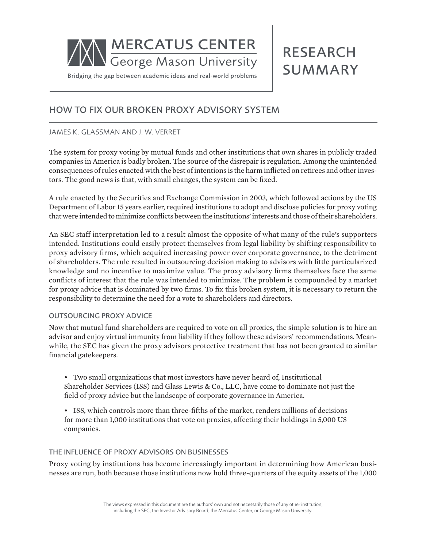

# RESEARCH SUMMARY

## HOW TO FIX OUR BROKEN PROXY ADVISORY SYSTEM

## JAMES K. GLASSMAN AND J. W. VERRET

The system for proxy voting by mutual funds and other institutions that own shares in publicly traded companies in America is badly broken. The source of the disrepair is regulation. Among the unintended consequences of rules enacted with the best of intentions is the harm inflicted on retirees and other investors. The good news is that, with small changes, the system can be fixed.

A rule enacted by the Securities and Exchange Commission in 2003, which followed actions by the US Department of Labor 15 years earlier, required institutions to adopt and disclose policies for proxy voting that were intended to minimize conflicts between the institutions' interests and those of their shareholders.

An SEC staff interpretation led to a result almost the opposite of what many of the rule's supporters intended. Institutions could easily protect themselves from legal liability by shifting responsibility to proxy advisory firms, which acquired increasing power over corporate governance, to the detriment of shareholders. The rule resulted in outsourcing decision making to advisors with little particularized knowledge and no incentive to maximize value. The proxy advisory firms themselves face the same conflicts of interest that the rule was intended to minimize. The problem is compounded by a market for proxy advice that is dominated by two firms. To fix this broken system, it is necessary to return the responsibility to determine the need for a vote to shareholders and directors.

#### OUTSOURCING PROXY ADVICE

Now that mutual fund shareholders are required to vote on all proxies, the simple solution is to hire an advisor and enjoy virtual immunity from liability if they follow these advisors' recommendations. Meanwhile, the SEC has given the proxy advisors protective treatment that has not been granted to similar financial gatekeepers.

• Two small organizations that most investors have never heard of, Institutional Shareholder Services (ISS) and Glass Lewis & Co., LLC, have come to dominate not just the field of proxy advice but the landscape of corporate governance in America.

• ISS, which controls more than three-fifths of the market, renders millions of decisions for more than 1,000 institutions that vote on proxies, affecting their holdings in 5,000 US companies.

### THE INFLUENCE OF PROXY ADVISORS ON BUSINESSES

Proxy voting by institutions has become increasingly important in determining how American businesses are run, both because those institutions now hold three-quarters of the equity assets of the 1,000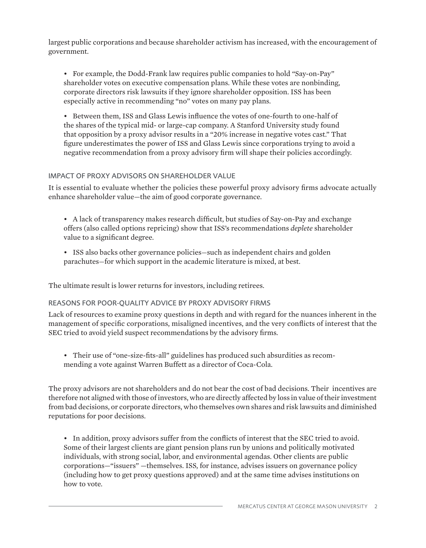largest public corporations and because shareholder activism has increased, with the encouragement of government.

• For example, the Dodd-Frank law requires public companies to hold "Say-on-Pay" shareholder votes on executive compensation plans. While these votes are nonbinding, corporate directors risk lawsuits if they ignore shareholder opposition. ISS has been especially active in recommending "no" votes on many pay plans.

• Between them, ISS and Glass Lewis influence the votes of one-fourth to one-half of the shares of the typical mid- or large-cap company. A Stanford University study found that opposition by a proxy advisor results in a "20% increase in negative votes cast." That figure underestimates the power of ISS and Glass Lewis since corporations trying to avoid a negative recommendation from a proxy advisory firm will shape their policies accordingly.

## IMPACT OF PROXY ADVISORS ON SHAREHOLDER VALUE

It is essential to evaluate whether the policies these powerful proxy advisory firms advocate actually enhance shareholder value—the aim of good corporate governance.

• A lack of transparency makes research difficult, but studies of Say-on-Pay and exchange offers (also called options repricing) show that ISS's recommendations *deplete* shareholder value to a significant degree.

• ISS also backs other governance policies—such as independent chairs and golden parachutes—for which support in the academic literature is mixed, at best.

The ultimate result is lower returns for investors, including retirees.

## REASONS FOR POOR-QUALITY ADVICE BY PROXY ADVISORY FIRMS

Lack of resources to examine proxy questions in depth and with regard for the nuances inherent in the management of specific corporations, misaligned incentives, and the very conflicts of interest that the SEC tried to avoid yield suspect recommendations by the advisory firms.

• Their use of "one-size-fits-all" guidelines has produced such absurdities as recommending a vote against Warren Buffett as a director of Coca-Cola.

The proxy advisors are not shareholders and do not bear the cost of bad decisions. Their incentives are therefore not aligned with those of investors, who are directly affected by loss in value of their investment from bad decisions, or corporate directors, who themselves own shares and risk lawsuits and diminished reputations for poor decisions.

• In addition, proxy advisors suffer from the conflicts of interest that the SEC tried to avoid. Some of their largest clients are giant pension plans run by unions and politically motivated individuals, with strong social, labor, and environmental agendas. Other clients are public corporations—"issuers" —themselves. ISS, for instance, advises issuers on governance policy (including how to get proxy questions approved) and at the same time advises institutions on how to vote.